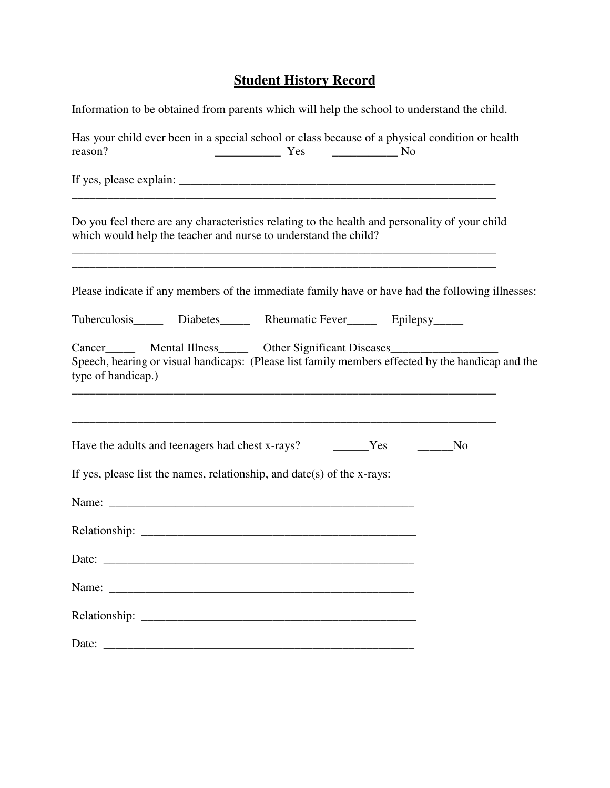## **Student History Record**

| Information to be obtained from parents which will help the school to understand the child.                                                                                                                  |                |
|--------------------------------------------------------------------------------------------------------------------------------------------------------------------------------------------------------------|----------------|
| Has your child ever been in a special school or class because of a physical condition or health<br>reason?                                                                                                   |                |
| ,我们也不能在这里的人,我们也不能在这里的人,我们也不能在这里的人,我们也不能在这里的人,我们也不能在这里的人,我们也不能在这里的人,我们也不能在这里的人,我们                                                                                                                             |                |
| Do you feel there are any characteristics relating to the health and personality of your child<br>which would help the teacher and nurse to understand the child?                                            |                |
| Please indicate if any members of the immediate family have or have had the following illnesses:                                                                                                             |                |
| Tuberculosis Diabetes Rheumatic Fever Epilepsy                                                                                                                                                               |                |
| Cancer_________ Mental Illness________ Other Significant Diseases________________<br>Speech, hearing or visual handicaps: (Please list family members effected by the handicap and the<br>type of handicap.) |                |
| Have the adults and teenagers had chest x-rays? The Mess Theorem 2014                                                                                                                                        | N <sub>0</sub> |
| If yes, please list the names, relationship, and $date(s)$ of the x-rays:                                                                                                                                    |                |
|                                                                                                                                                                                                              |                |
|                                                                                                                                                                                                              |                |
|                                                                                                                                                                                                              |                |
| Name:                                                                                                                                                                                                        |                |
|                                                                                                                                                                                                              |                |
|                                                                                                                                                                                                              |                |